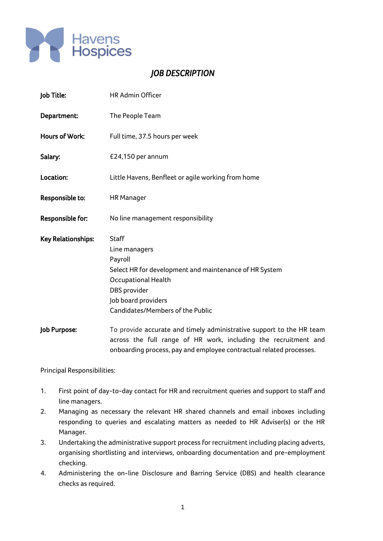

## *JOB DESCRIPTION*

| Job Title:                | <b>HR Admin Officer</b>                                                                                                                                                                                        |
|---------------------------|----------------------------------------------------------------------------------------------------------------------------------------------------------------------------------------------------------------|
| Department:               | The People Team                                                                                                                                                                                                |
| Hours of Work:            | Full time, 37.5 hours per week                                                                                                                                                                                 |
| Salary:                   | £24,150 per annum                                                                                                                                                                                              |
| Location:                 | Little Havens, Benfleet or agile working from home                                                                                                                                                             |
| Responsible to:           | <b>HR Manager</b>                                                                                                                                                                                              |
| <b>Responsible for:</b>   | No line management responsibility                                                                                                                                                                              |
| <b>Key Relationships:</b> | <b>Staff</b><br>Line managers<br>Payroll<br>Select HR for development and maintenance of HR System<br><b>Occupational Health</b><br>DBS provider<br>Job board providers<br>Candidates/Members of the Public    |
| Job Purpose:              | To provide accurate and timely administrative support to the HR team<br>across the full range of HR work, including the recruitment and<br>onboarding process, pay and employee contractual related processes. |

Principal Responsibilities:

- 1. First point of day-to-day contact for HR and recruitment queries and support to staff and line managers.
- 2. Managing as necessary the relevant HR shared channels and email inboxes including responding to queries and escalating matters as needed to HR Adviser(s) or the HR Manager.
- 3. Undertaking the administrative support process for recruitment including placing adverts, organising shortlisting and interviews, onboarding documentation and pre-employment checking.
- 4. Administering the on-line Disclosure and Barring Service (DBS) and health clearance checks as required.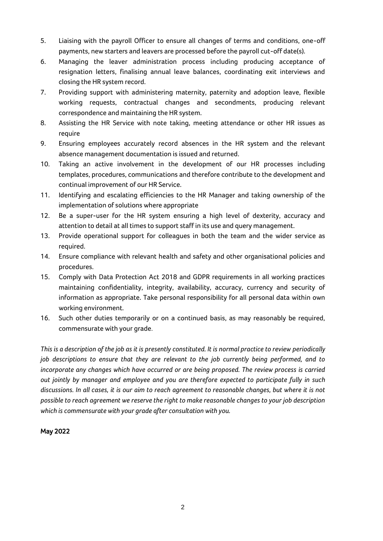- 5. Liaising with the payroll Officer to ensure all changes of terms and conditions, one-off payments, new starters and leavers are processed before the payroll cut-off date(s).
- 6. Managing the leaver administration process including producing acceptance of resignation letters, finalising annual leave balances, coordinating exit interviews and closing the HR system record.
- 7. Providing support with administering maternity, paternity and adoption leave, flexible working requests, contractual changes and secondments, producing relevant correspondence and maintaining the HR system.
- 8. Assisting the HR Service with note taking, meeting attendance or other HR issues as require
- 9. Ensuring employees accurately record absences in the HR system and the relevant absence management documentation is issued and returned.
- 10. Taking an active involvement in the development of our HR processes including templates, procedures, communications and therefore contribute to the development and continual improvement of our HR Service.
- 11. Identifying and escalating efficiencies to the HR Manager and taking ownership of the implementation of solutions where appropriate
- 12. Be a super-user for the HR system ensuring a high level of dexterity, accuracy and attention to detail at all times to support staff in its use and query management.
- 13. Provide operational support for colleagues in both the team and the wider service as required.
- 14. Ensure compliance with relevant health and safety and other organisational policies and procedures.
- 15. Comply with Data Protection Act 2018 and GDPR requirements in all working practices maintaining confidentiality, integrity, availability, accuracy, currency and security of information as appropriate. Take personal responsibility for all personal data within own working environment.
- 16. Such other duties temporarily or on a continued basis, as may reasonably be required, commensurate with your grade.

*This is a description of the job as it is presently constituted. It is normal practice to review periodically job descriptions to ensure that they are relevant to the job currently being performed, and to incorporate any changes which have occurred or are being proposed. The review process is carried out jointly by manager and employee and you are therefore expected to participate fully in such discussions. In all cases, it is our aim to reach agreement to reasonable changes, but where it is not possible to reach agreement we reserve the right to make reasonable changes to your job description which is commensurate with your grade after consultation with you.* 

## May 2022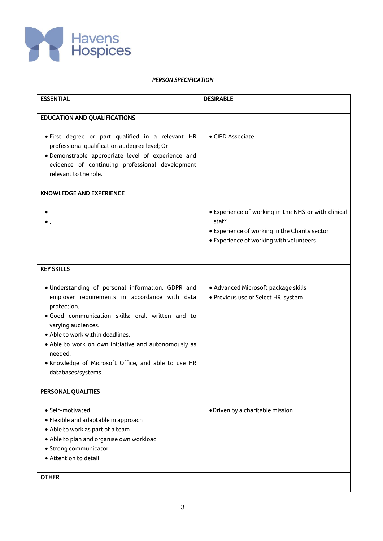

## *PERSON SPECIFICATION*

| <b>ESSENTIAL</b>                                                         | <b>DESIRABLE</b>                                    |
|--------------------------------------------------------------------------|-----------------------------------------------------|
| <b>EDUCATION AND QUALIFICATIONS</b>                                      |                                                     |
|                                                                          |                                                     |
| . First degree or part qualified in a relevant HR                        | • CIPD Associate                                    |
| professional qualification at degree level; Or                           |                                                     |
| · Demonstrable appropriate level of experience and                       |                                                     |
| evidence of continuing professional development<br>relevant to the role. |                                                     |
|                                                                          |                                                     |
| <b>KNOWLEDGE AND EXPERIENCE</b>                                          |                                                     |
|                                                                          | • Experience of working in the NHS or with clinical |
|                                                                          | staff                                               |
|                                                                          | • Experience of working in the Charity sector       |
|                                                                          | • Experience of working with volunteers             |
|                                                                          |                                                     |
| <b>KEY SKILLS</b>                                                        |                                                     |
|                                                                          |                                                     |
| · Understanding of personal information, GDPR and                        | · Advanced Microsoft package skills                 |
| employer requirements in accordance with data                            | · Previous use of Select HR system                  |
| protection.<br>· Good communication skills: oral, written and to         |                                                     |
| varying audiences.                                                       |                                                     |
| · Able to work within deadlines.                                         |                                                     |
| • Able to work on own initiative and autonomously as                     |                                                     |
| needed.                                                                  |                                                     |
| . Knowledge of Microsoft Office, and able to use HR                      |                                                     |
| databases/systems.                                                       |                                                     |
| PERSONAL QUALITIES                                                       |                                                     |
| • Self-motivated                                                         | · Driven by a charitable mission                    |
| • Flexible and adaptable in approach                                     |                                                     |
| • Able to work as part of a team                                         |                                                     |
| • Able to plan and organise own workload                                 |                                                     |
| · Strong communicator                                                    |                                                     |
| • Attention to detail                                                    |                                                     |
| <b>OTHER</b>                                                             |                                                     |
|                                                                          |                                                     |